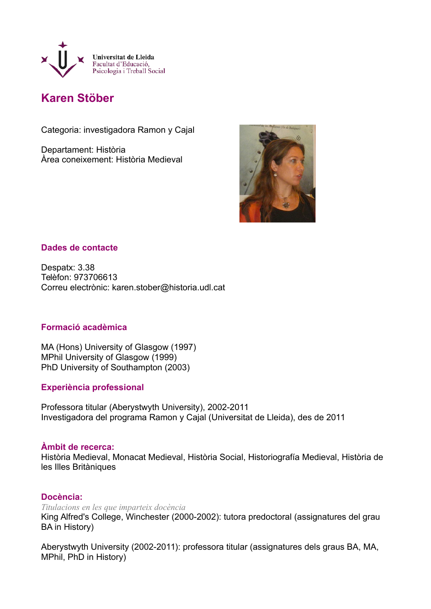

# **Karen Stöber**

Categoria: investigadora Ramon y Cajal

Departament: Història Àrea coneixement: Història Medieval



# **Dades de contacte**

Despatx: 3.38 Telèfon: 973706613 Correu electrònic: karen.stober@historia.udl.cat

### **Formació acadèmica**

MA (Hons) University of Glasgow (1997) MPhil University of Glasgow (1999) PhD University of Southampton (2003)

### **Experiència professional**

Professora titular (Aberystwyth University), 2002-2011 Investigadora del programa Ramon y Cajal (Universitat de Lleida), des de 2011

### **Àmbit de recerca:**

Història Medieval, Monacat Medieval, Història Social, Historiografía Medieval, Història de les Illes Britàniques

### **Docència:**

*Titulacions en les que imparteix docència*

King Alfred's College, Winchester (2000-2002): tutora predoctoral (assignatures del grau BA in History)

Aberystwyth University (2002-2011): professora titular (assignatures dels graus BA, MA, MPhil, PhD in History)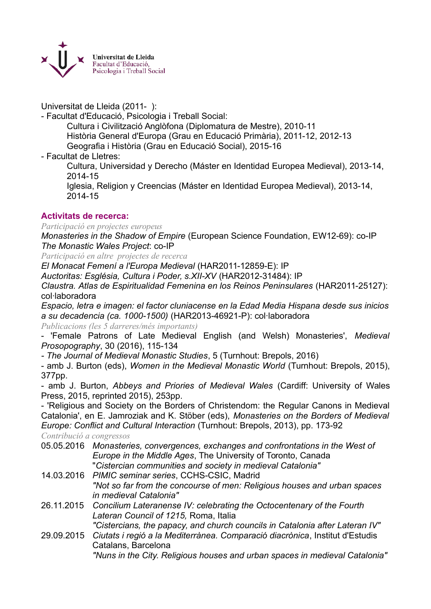

Universitat de Lleida (2011- ):

- Facultat d'Educació, Psicologia i Treball Social:

Cultura i Civilització Anglòfona (Diplomatura de Mestre), 2010-11 Història General d'Europa (Grau en Educació Primària), 2011-12, 2012-13 Geografia i Història (Grau en Educació Social), 2015-16

- Facultat de Lletres:

Cultura, Universidad y Derecho (Máster en Identidad Europea Medieval), 2013-14, 2014-15

Iglesia, Religion y Creencias (Máster en Identidad Europea Medieval), 2013-14, 2014-15

# **Activitats de recerca:**

*Participació en projectes europeus*

*Monasteries in the Shadow of Empire* (European Science Foundation, EW12-69): co-IP *The Monastic Wales Project*: co-IP

*Participació en altre projectes de recerca*

*El Monacat Femení a l'Europa Medieval* (HAR2011-12859-E): IP

*Auctoritas: Església, Cultura i Poder, s.XII-XV* (HAR2012-31484): IP

*Claustra. Atlas de Espiritualidad Femenina en los Reinos Peninsulares* (HAR2011-25127): col·laboradora

*Espacio, letra e imagen: el factor cluniacense en la Edad Media Hispana desde sus inicios a su decadencia (ca. 1000-1500)* (HAR2013-46921-P): col·laboradora

*Publicacions (les 5 darreres/més importants)*

- 'Female Patrons of Late Medieval English (and Welsh) Monasteries', *Medieval Prosopography*, 30 (2016), 115-134

*- The Journal of Medieval Monastic Studies*, 5 (Turnhout: Brepols, 2016)

- amb J. Burton (eds), *Women in the Medieval Monastic World* (Turnhout: Brepols, 2015), 377pp.

- amb J. Burton, *Abbeys and Priories of Medieval Wales* (Cardiff: University of Wales Press, 2015, reprinted 2015), 253pp.

- 'Religious and Society on the Borders of Christendom: the Regular Canons in Medieval Catalonia', en E. Jamroziak and K. Stöber (eds), *Monasteries on the Borders of Medieval Europe: Conflict and Cultural Interaction* (Turnhout: Brepols, 2013), pp. 173-92

*Contribució a congressos*

- 05.05.2016 *Monasteries, convergences, exchanges and confrontations in the West of Europe in the Middle Ages*, The University of Toronto, Canada "*Cistercian communities and society in medieval Catalonia"*
- 14.03.2016 *PIMIC seminar series*, CCHS-CSIC, Madrid *"Not so far from the concourse of men: Religious houses and urban spaces in medieval Catalonia"*
- 26.11.2015 *Concilium Lateranense IV: celebrating the Octocentenary of the Fourth Lateran Council of 1215,* Roma, Italia
- *"Cistercians, the papacy, and church councils in Catalonia after Lateran IV"* 29.09.2015 *Ciutats i regió a la Mediterrànea. Comparació diacrònica*, Institut d'Estudis Catalans, Barcelona

*"Nuns in the City. Religious houses and urban spaces in medieval Catalonia"*